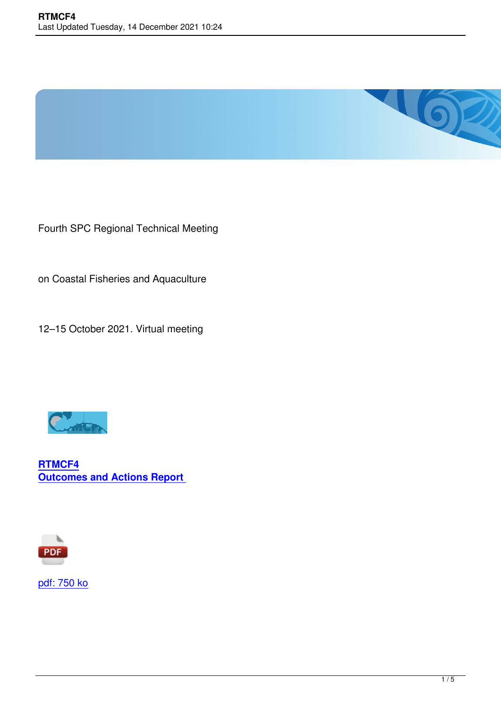

Fourth SPC Regional Technical Meeting

on Coastal Fisheries and Aquaculture

12–15 October 2021. Virtual meeting



**RTMCF4 Outcomes and Actions Report** 



pdf: 750 ko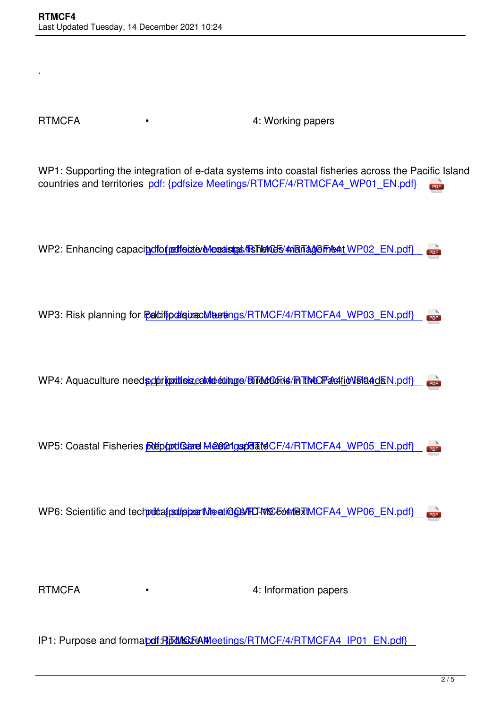.

RTMCFA • 4: Working papers

WP1: Supporting the integration of e-data systems into coastal fisheries across the Pacific Island countries and territories pdf: {pdfsize Meetings/RTMCF/4/RTMCFA4\_WP01\_EN.pdf} **PDF** 

WP2: Enhancing capacity of effective coastal fisheries management WP02\_EN.pdf PDF

WP3: Risk planning for **Pacific assume Meetings/RTMCF/4/RTMCFA4** WP03 EN.pdf **PDF** 

WP4: Aquaculture needs, obtiquities, cande et inge/Bired Const / RTMCFacific VSI and EN.pdf  $PDE$ 

WP5: Coastal Fisheries **Report Card Meen 1 update CF/4/RTMCFA4** WP05 EN.pdf PDF

WP6: Scientific and technical subport Meeting SMHO-19 context MCFA4 WP06 EN.pdf **PDF** 

RTMCFA • • • • • • 4: Information papers

IP1: Purpose and formapdf: RpMCFAMeetings/RTMCF/4/RTMCFA4\_IP01\_EN.pdf}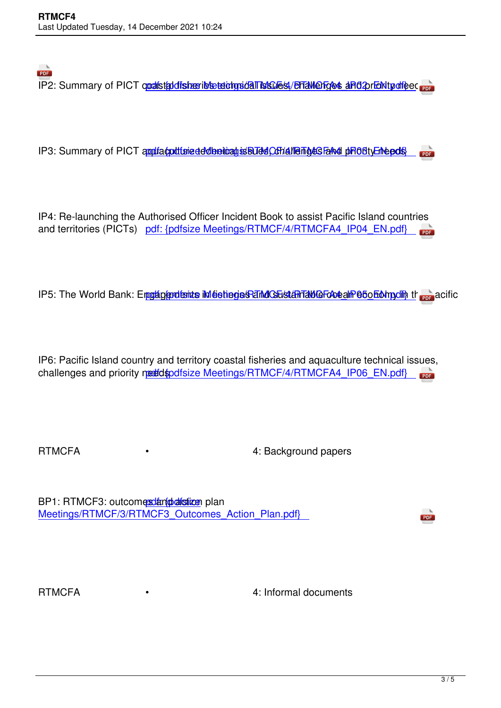IP3: Summary of PICT appliaculture dedenicaties Buds Conditioning the phonon priority of the pdfs PDF

IP4: Re-launching the Authorised Officer Incident Book to assist Pacific Island countries and territories (PICTs) pdf: {pdfsize Meetings/RTMCF/4/RTMCFA4\_IP04\_EN.pdf}

IP5: The World Bank: Engalgendents in fishings Pand Gustamable Foceal Person of the Pacific

IP6: Pacific Island country and territory coastal fisheries and aquaculture technical issues, challenges and priority needdspdfsize Meetings/RTMCF/4/RTMCFA4\_IP06\_EN.pdf **PDE** 

RTMCFA • 4: Background papers

BP1: RTMCF3: outcomes and also incomes being plan Meetings/RTMCF/3/RTMCF3\_Outcomes\_Action\_Plan.pdf}

RTMCFA • 4: Informal documents

PDF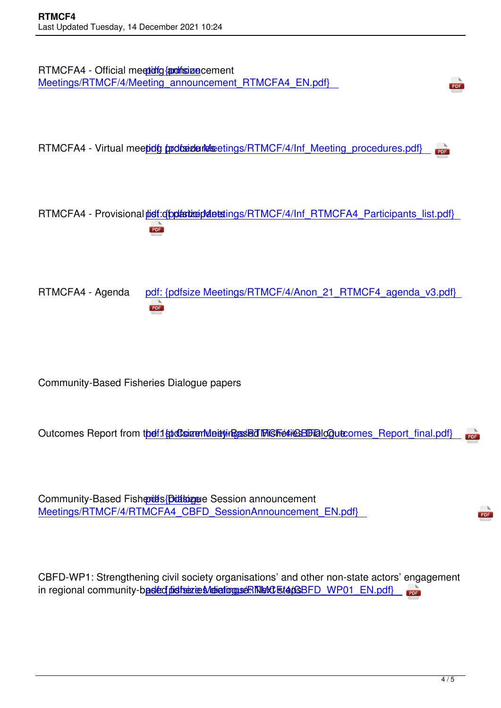

RTMCFA4 - Virtual meeting procedures etings/RTMCF/4/Inf\_Meeting\_procedures.pdf} **PDF** 

RTMCFA4 - Provisional pidf: dipplarticipal attenuas/RTMCF/4/Inf\_RTMCFA4\_Participants\_list.pdf} PDF

RTMCFA4 - Agenda pdf: {pdfsize Meetings/RTMCF/4/Anon\_21\_RTMCF4\_agenda\_v3.pdf} **PDF** 

Community-Based Fisheries Dialogue papers

Outcomes Report from the 1st Community-Based Figure 4 and Community-Beeting Meeting Meeting Aeronames\_Report\_final.pdf **PDF** 

Community-Based Fisheries Dialogue Session announcement Meetings/RTMCF/4/RTMCFA4\_CBFD\_SessionAnnouncement\_EN.pdf}

CBFD-WP1: Strengthening civil society organisations' and other non-state actors' engagement in regional community-based pisheries detailoguse RTNeXt steps BFD WP01 EN.pdf mea

PDF